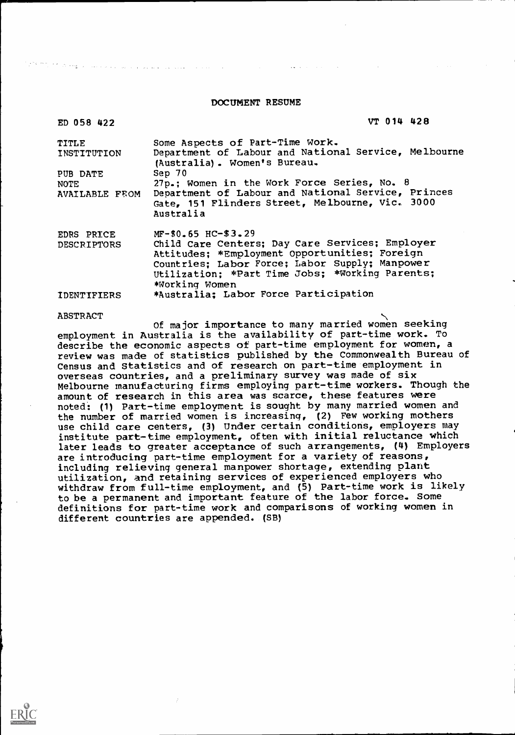#### DOCUMENT RESUME

| ED 058 422            | VT 014 428                                                                           |
|-----------------------|--------------------------------------------------------------------------------------|
| TITLE                 | Some Aspects of Part-Time Work.                                                      |
| INSTITUTION           | Department of Labour and National Service, Melbourne<br>(Australia). Women's Bureau. |
| PUB DATE              | Sep 70                                                                               |
| NOTE                  | 27p.; Women in the Work Force Series, No. 8                                          |
| <b>AVAILABLE FEOM</b> | Department of Labour and National Service, Princes                                   |
|                       | Gate, 151 Flinders Street, Melbourne, Vic. 3000                                      |
|                       | Australia                                                                            |
| EDRS PRICE            | $MF-50.65$ HC- $$3.29$                                                               |
| <b>DESCRIPTORS</b>    | Child Care Centers; Day Care Services; Employer                                      |
|                       | Attitudes; *Employment Opportunities; Foreign                                        |
|                       | Countries; Labor Force; Labor Supply; Manpower                                       |
|                       | Utilization; *Part Time Jobs; *Working Parents;                                      |
|                       | *Working Women                                                                       |
| <b>IDENTIFIERS</b>    | *Australia: Labor Force Participation                                                |

#### ABSTRACT

ti në shtetit e

الطاعات المتارين والمعاونة والمراجين

Of major importance to many married women seeking employment in Australia is the availability of part-time work. To describe the economic aspects of part-time employment for women, a review was made of statistics published by the Commonwealth Bureau of Census and Statistics and of research on part-time employment in overseas countries, and a preliminary survey was made of six Melbourne manufacturing firms employing part-time workers. Though the amount of research in this area was scarce, these features were noted: (1) Part-time employment is sought by many married women and the number of married women is increasing, (2) Few working mothers use child care centers, (3) Under certain conditions, employers may institute part-time employment, often with initial reluctance which later leads to greater acceptance of such arrangements, (4) Employers are introducing part-time employment for a variety of reasons, including relieving general manpower shortage, extending plant utilization, and retaining services of experienced employers who withdraw from full-time employment, and (5) Part-time work is likely to be a permanent and important feature of the labor force. Some definitions for part-time work and comparisons of working women in different countries are appended. (SB)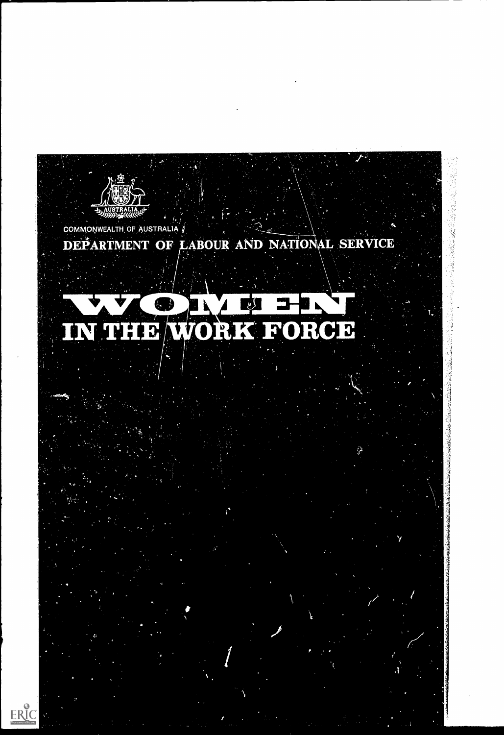

(No.75) 活躍度にきる

 $ERIC$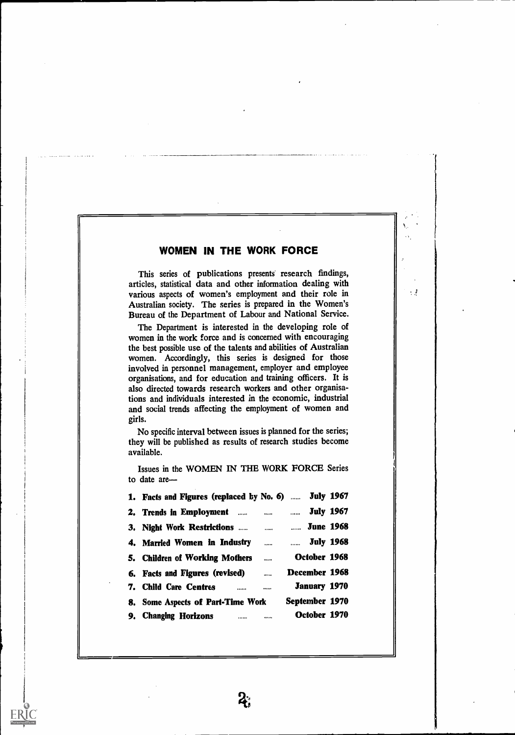This series of publications presents research findings, articles, statistical data and other information dealing with various aspects of women's employment and their role in Australian society. The series is prepared in the Women's Bureau of the Department of Labour and National Service.

 $\pm$   $\pm$ 

The Department is interested in the developing role of women in the work force and is concerned with encouraging the best possible use of the talents and abilities of Australian women. Accordingly, this series is designed for those involved in personnel management, employer and employee organisations, and for education and training officers. It is also directed towards research workers and other organisations and individuals interested in the economic, industrial and social trends affecting the employment of women and girls.

No specific interval between issues is planned for the series; they will be published as results of research studies become available.

1. Facts and Figures (replaced by No. 6) ...... July 1967 2. Trends in Employment ...... ....... ....... July 1967 3. Night Work Restrictions ...... ....... June 1968 4. Married Women in Industry ...... ....... July 1968 5. Children of Working Mothers ...... October 1968 6. Facts and Figures (revised) **Example 2008** December 1968 7. Child Care Centres **Fig. 20. 12. 12. January 1970** 8. Some Aspects of Part-Time Work September 1970 9. Changing Horizons **Manual Changing Horizons Constant Changing** October 1970

Issues in the WOMEN IN THE WORK FORCE Series to date are-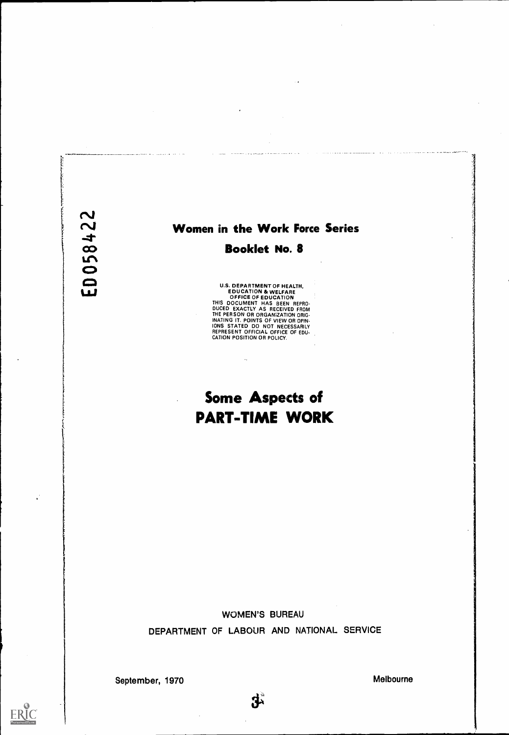# ED058422

ti

**ERIC** 

# Women in the Work Force Series

# Booklet No. 8

U.S. DEPARTMENT OF HEALTH. EDUCATION & WELFARE OFFICE OF EDUCATION THIS DOCUMENT HAS BEEN REPRO-DUCED EXACTLY AS RECEIVED FROM THE PERSON OR ORGAN/ZATION ORIG-INATING IT. POINTS OF VIEW OR OPIN-IONS STATED DO NOT NECESSARILY REPRESENT OFFICIAL OFFICE OF EDU CATION POSITION OR POLICY.

 $\ddotsc$ 

# Some Aspects of PART-TIME WORK

WOMEN'S BUREAU DEPARTMENT OF LABOUR AND NATIONAL SERVICE

September, 1970 Melbourne

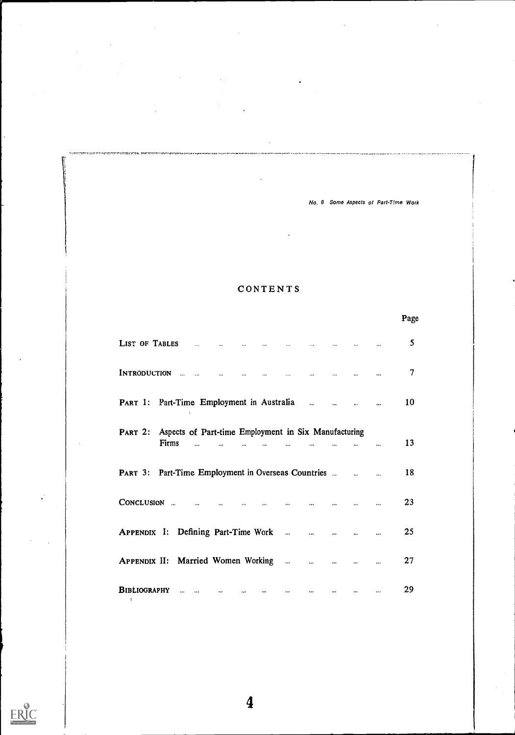# CONTENTS

.<br>Inglish vitam belahirni kel

niterio.

ERIC

|                                                                                                                        |            |                                       |          | Page |
|------------------------------------------------------------------------------------------------------------------------|------------|---------------------------------------|----------|------|
| LIST OF TABLES<br>$\sim 100$ km $^{-1}$<br>$\sim 100$ km s $^{-1}$<br>$\sim$ 100 $^{\circ}$<br>$\sim 100$ km s $^{-1}$ |            | and the company of the company of the |          | 5    |
| INTRODUCTION<br>$\sim 100$<br>$\sim$ $\sim$<br>$\dddot{\phantom{0}}$<br>$\overline{a}$<br>$\sim$                       | $\sim 100$ |                                       |          | 7    |
| <b>PART 1: Part-Time Employment in Australia</b>                                                                       |            |                                       |          | 10   |
| PART 2: Aspects of Part-time Employment in Six Manufacturing                                                           |            |                                       |          |      |
| Firms                                                                                                                  |            |                                       |          | 13   |
| PART 3: Part-Time Employment in Overseas Countries                                                                     |            |                                       |          | 18   |
| CONCLUSION<br>$\sim$<br>$\ddotsc$<br>$\ddotsc$                                                                         |            |                                       |          | 23   |
| APPENDIX I: Defining Part-Time Work                                                                                    |            |                                       |          | 25   |
|                                                                                                                        | $\dddotsc$ | $\cdots$                              |          | 27   |
| BIBLIOGRAPHY<br>$\ddot{\phantom{a}}$<br>$\dddotsc$<br>$\ddotsc$<br>$\ddotsc$                                           |            |                                       | $\cdots$ | 29   |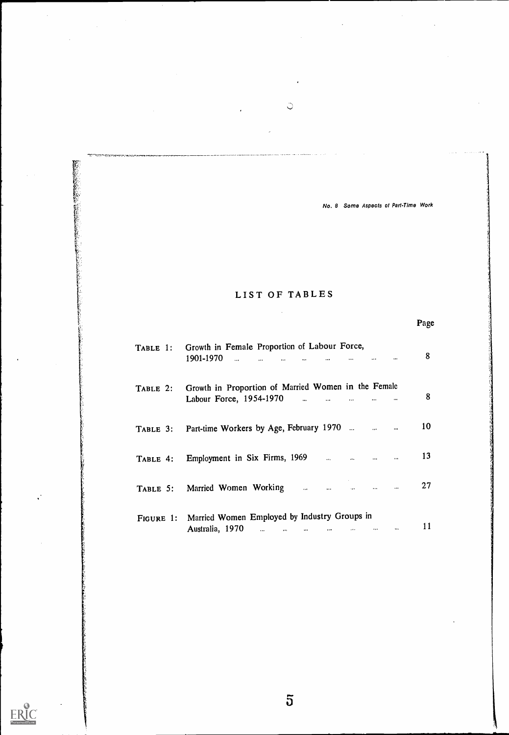Page

# LIST OF TABLES

WARRANG WANGSE

ERIC

| TABLE 1: Growth in Female Proportion of Labour Force,<br>1901-1970<br>المنافس المنفر المنفر المنفر والمنافسة والمنفرة والمنفرة والمنفرة والمنفرة والمنفرة والمنفرة والمنفرة والمنفرة |  | 8  |  |
|--------------------------------------------------------------------------------------------------------------------------------------------------------------------------------------|--|----|--|
| TABLE 2: Growth in Proportion of Married Women in the Female<br>Labour Force, 1954-1970 $\ldots$ $\ldots$ $\ldots$ $\ldots$                                                          |  | 8  |  |
| TABLE 3: Part-time Workers by Age, February 1970                                                                                                                                     |  | 10 |  |
| TABLE 4: Employment in Six Firms, 1969 and the contract of the method of the state of the method of the method                                                                       |  | 13 |  |
| TABLE 5: Married Women Working                                                                                                                                                       |  | 27 |  |
| FIGURE 1: Married Women Employed by Industry Groups in<br>Australia, 1970                                                                                                            |  | 11 |  |

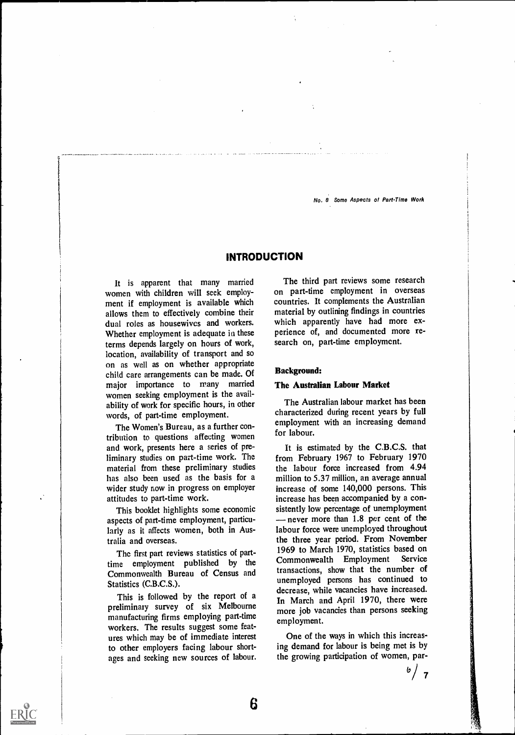# INTRODUCTION

It is apparent that many married women with children will seek employment if employment is available which allows them to effectively combine their dual roles as housewives and workers. Whether employment is adequate in these terms depends largely on hours of work, location, availability of transport and so on as well as on whether appropriate child care arrangements can be made. Of major importance to many married women seeking employment is the availability of work for specific hours, in other words, of part-time employment.

The Women's Bureau, as a further contribution to questions affecting women and work, presents here a series of preliminary studies on part-time work. The material from these preliminary studies has also been used as the basis for a wider study now in progress on employer attitudes to part-time work.

This booklet highlights some economic aspects of part-time employment, particularly as it affects women, both in Australia and overseas.

The first part reviews statistics of parttime employment published by the Commonwealth Bureau of Census and Statistics (C.B.C.S.).

This is followed by the report of a preliminary survey of six Melbourne manufacturing firms employing part-time workers. The results suggest some features which may be of immediate interest to other employers facing labour shortages and seeking new sources of labour.

The third part reviews some research on part-time employment in overseas countries. It complements the Australian material by outlining findings in countries which apparently have had more experience of, and documented more research on, part-time employment.

# Background:

# The Australian Labour Market

The Australian labour market has been characterized during recent years by full employment with an increasing demand for labour.

It is estimated by the C.B.C.S. that from February 1967 to February 1970 the labour force increased from 4.94 million to 5.37 million, an average annual increase of some 140,000 persons. This increase has been accompanied by a consistently low percentage of unemployment never more than 1.8 per cent of the labour force were unemployed throughout the three year period. From November 1969 to March 1970, statistics based on Commonwealth Employment Service transactions, show that the number of unemployed persons has continued to decrease, while vacancies have increased. In March and April 1970, there were more job vacancies than persons seeking employment.

One of the ways in which this increasing demand for labour is being met is by the growing participation of women, par-

 $b / 7$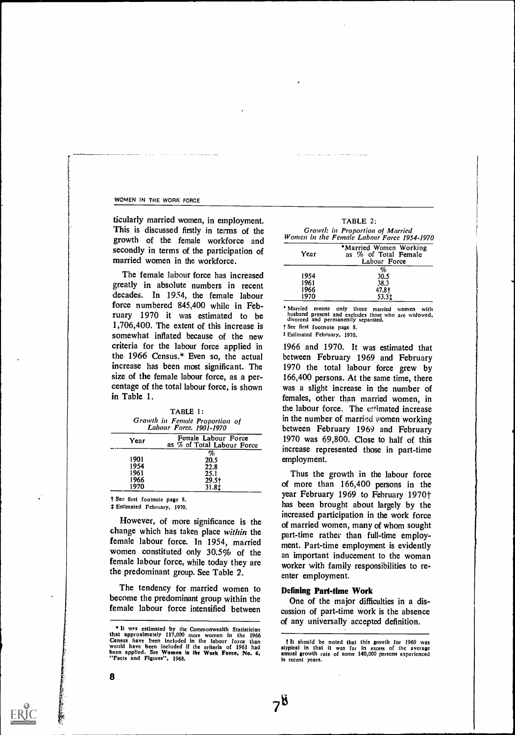ticularly married women, in employment. This is discussed firstly in terms of the growth of the female workforce and secondly in terms of the participation of married women in the workforce.

The female labour force has increased greatly in absolute numbers in recent decades. In 1954, the female labour force numbered 845,400 while in February 1970 it was estimated to be 1,706,400. The extent of this increase is somewhat inflated because of the new criteria for the labour force applied in the 1966 Census.\* Even so, the actual increase has been most significant. The size of the female labour force, as a percentage of the total labour force, is shown in Table 1.

| Growth in Female Proportion of<br>Labour Force, 1901-1970 |  |
|-----------------------------------------------------------|--|
| Female Labour Force<br>Year<br>as % of Total Labour Force |  |
| %                                                         |  |
| 1901<br>20.5                                              |  |
| 1954<br>22.8                                              |  |
| 1961<br>25.1                                              |  |
| 1966<br>$29.5+$                                           |  |
| 1970<br>31.8‡                                             |  |

'1 Sett first footnote page 8.

# Estimated February, 1970.

However, of more significance is the change which has taken place within the female labour force. In 1954, married women constituted only 30.5% of the female labour force, while today they are the predominant group. See Table 2.

The tendency for married women to become the predominant group within the female labour force intensified between

| TABLE 2:                                                                      |  |
|-------------------------------------------------------------------------------|--|
| Growth in Proportion of Married<br>Women in the Female Labour Force 1954-1970 |  |
| *Married Women Working                                                        |  |

| Year | *Married Women Working<br>as % of Total Female<br>Labour Force |
|------|----------------------------------------------------------------|
|      | %                                                              |
| 1954 | 30.5                                                           |
| 1961 | 38.3                                                           |
| 1966 | 47.8†                                                          |
| 1970 | 53.3±                                                          |
|      |                                                                |

Married means only those married women with husband present and excludes those who are widowed, divorced and permanently separated.

t See first footnote page 8.

t Estimated February, 1970.

1966 and 1970. It was estimated that between February 1969 and February 1970 the total labour force grew by 166,400 persons. At the same time, there was a slight increase in the number of females, other than married women, in the labour force. The estimated increase in the number of married women working between February 1969 and February 1970 was 69,800. Close to half of this increase represented those in part-time employment.

Thus the growth in the labour force of more than 166,400 persons in the year February 1969 to February 1970† has been brought about largely by the increased participation in the work force of married women, many of whom sought part-time rather than full-time employment. Part-time employment is evidently an important inducement to the woman worker with family responsibilities to reenter employment.

# Defining Part-time Work

One of the major difficulties in a discussion of part-time work is the absence of any universally accepted definition.

**<sup>\*</sup> It ws estimated by the Commonwealth Statistician**<br>that approximately  $117,000$  more women in the 1966<br>Census have been included if the labour force than<br>would have been included if the criteria of 1961 had<br>been applied

t It should be noted that this growth for 1969 was atypical in that it was far in excess of the average annual growth rate of some 140,000 persons experienced in recent years.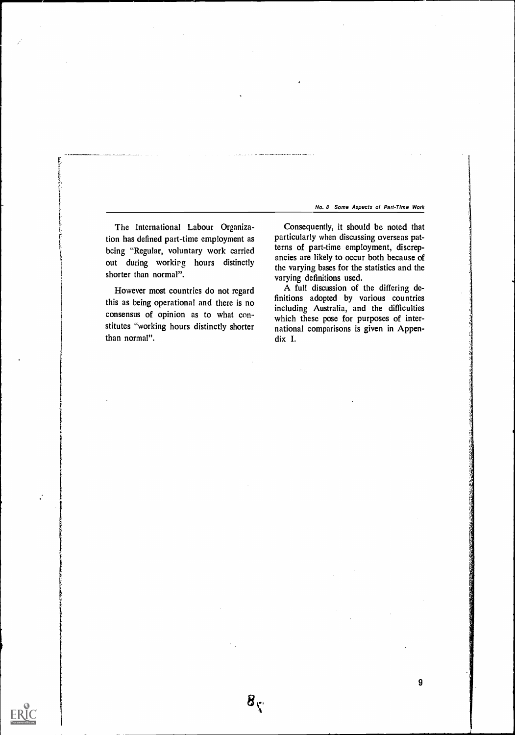The International Labour Organization has defined part-time employment as bcing "Regular, voluntary work carried out during workipg hours distinctly shorter than normal".

However most countries do not regard this as being operational and there is no consensus of opinion as to what constitutes "working hours distinctly shorter than normal".

 $B_{\zeta}$ 

ERIC

Consequently, it should be noted that particularly when discussing overseas patterns of part-time employment, discrepancies are likely to occur both because of the varying bases for the statistics and the varying definitions used.

A full discussion of the differing definitions adopted by various countries including Australia, and the difficulties which these pose for purposes of international comparisons is given in Appendix I.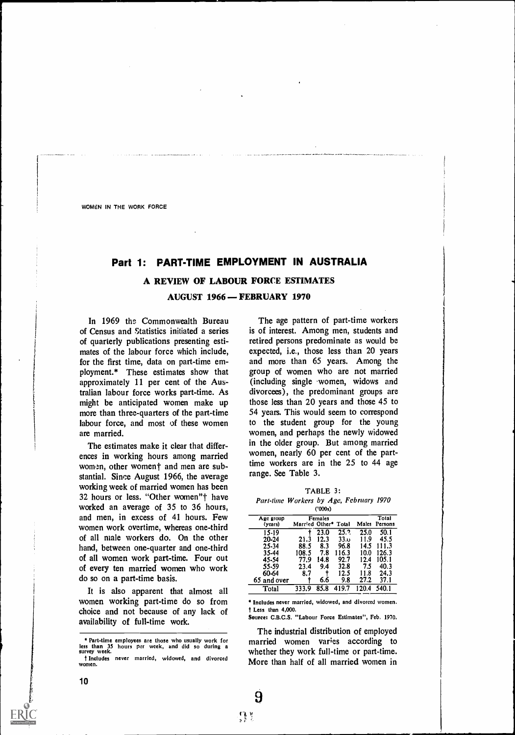# Part 1: PART-TIME EMPLOYMENT IN AUSTRALIA

# A REVIEW OF LABOUR FORCE ESTIMATES

AUGUST 1966 – FEBRUARY 1970

In 1969 the Commonwealth Bureau of Census and Statistics initiated a series of quarterly publications presenting estimates of the labour force which include, for the first time, data on part-time employment.\* These estimates show that approximately 11 per cent of the Australian labour force works part-time. As might be anticipated women make up more than three-quarters of the part-time labour force, and most of these women are married.

The estimates make it clear that differences in working hours among married women, other woment and men are substantial. Since August 1966, the average working week of married women has been 32 hours or less. "Other women"t have worked an average of 35 to 36 hours, and men, in excess of 41 hours. Few women work overtime, whereas one-third of all male workers do. On the other hand, between one-quarter and one-third of all women work part-time. Four out of every ten married women who work do so on a part-time basis.

It is also apparent that almost all women working part-time do so from choice and not because of any lack of availability of full-time work.

The age pattern of part-time workers is of interest. Among men, students and retired persons predominate as would be expected, i.e., those less than 20 years and more than 65 years. Among the group of women who are not married (including single .women, widows and divorcees), the predominant groups are those less than 20 years and those 45 to 54 years. This would seem to correspond to the student group for the young women, and perhaps the newly widowed in the older group. But among married women, nearly 60 per cent of the parttime workers are in the 25 to 44 age range. See Table 3.

|  | TABLE 3: |  |  |  |
|--|----------|--|--|--|
|  |          |  |  |  |

Part-time Workers by Age, February 1970 ('000s)

| Age group   |                      | Females |       |       | Total   |
|-------------|----------------------|---------|-------|-------|---------|
| (years)     | Married Other* Total |         |       | Males | Persons |
| 15-19       |                      | 23.0    | 25.7  | 25.0  | 50.1    |
| 20-24       | 21.3                 | 12.3    | 33.0  | 11.9  | 45.5    |
| 25-34       | 88.5                 | 8.3     | 96.8  | 14.5  | 111.3   |
| 35-44       | 108.5                | 7.8     | 116.3 | 10.0  | 126.3   |
| 45-54       | 77.9                 | 14.8    | 92.7  | 12.4  | 105.1   |
| 55-59       | 23.4                 | 9.4     | 32.8  | 7.5   | 40.3    |
| 60-64       | 8.7                  |         | 12.5  | 11.8  | 24.3    |
| 65 and over |                      | 6.6     | 9.8   | 27.2  | 37.1    |
| Total       | 333.9                | 85.8    | 419.7 | 20.   | 540.1   |

Includes never married, widowed, and divorced women. t Less than 4,000.

Source: C.B.C.S. "Labour Force Estimates", Feb, 1970.

The industrial distribution of employed married women varies according to whether they work full-time or part-time. More than half of all married women in

Part-time employees are those who usually work for less than 35 hours pier week, and did so during a survey week. Includes never married, widowed, and divorced women.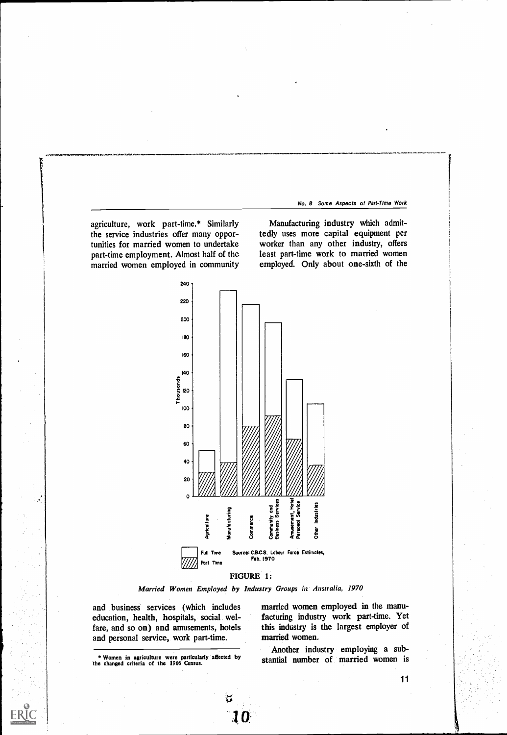agriculture, work part-time.\* Similarly the service industries offer many opportunities for married women to undertake part-time employment. Almost half of the married women employed in community

Manufacturing industry which admittedly uses more capital equipment per worker than any other industry, offers least part-time work to married women employed. Only about one-sixth of the



# FIGURE 1:

Married Women Employed by Industry Groups in Australia, 1970

and business services (which includes education, health, hospitals, social welfare, and so on) and amusements, hotels and personal service, work part-time.

\* Women in agriculture were particularly affected by the changed criteria of the 1966 Census.

married women employed in the manufacturing industry work part-time. Yet this industry is the largest employer of married women.

Another industry employing a substantial number of married women is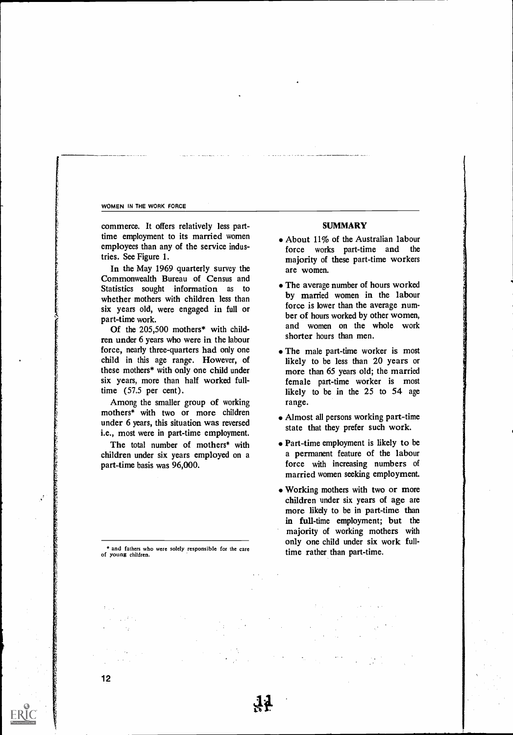commerce. It offers relatively less parttime employment to its married women employees than any of the service industries. See Figure 1.

In the May 1969 quarterly survey the Commonwealth Bureau of Census and Statistics sought information as to whether mothers with children less than six years old, were engaged in full or part-time work.

Of the 205,500 mothers\* with children under 6 years who were in the labour force, nearly three-quarters had only one child in this age range. However, of these mothers\* with only one child under six years, more than half worked fulltime (57.5 per cent).

Among the smaller group of working mothers\* with two or more children under 6 years, this situation was reversed i.e., most were in part-time employment.

The total number of mothers\* with children under six years employed on a part-time basis was 96,000.

#### and fathers who were solely responsible for the care of young children.

# SUMMARY

- About 11% of the Australian labour force works part-time and the majority of these part-time workers are women.
- The average number of hours worked by married women in the labour force is lower than the average number of hours worked by other women, and women on the whole work shorter hours than men.
- The male part-time worker is most likely to be less than 20 years or more than 65 years old; the married female part-time worker is most likely to be in the 25 to 54 age range.
- Almost all persons working part-time state that they prefer such work.
- Part-time employment is likely to be a permanent feature of the labour force with increasing numbers of married women seeking employment.
- Working mothers with two or more children under six years of age are more likely to be in part-time than in full-time employment; but the majority of working mothers with only one child under six work fulltime rather than part-time.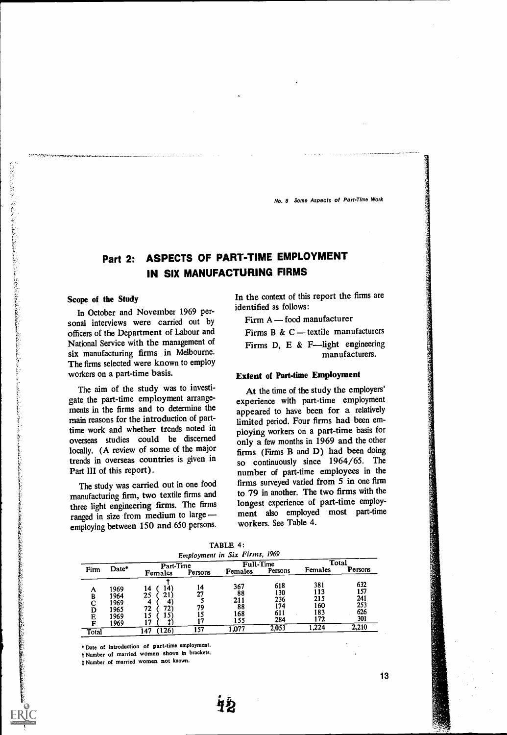# Part 2: ASPECTS OF PART-TIME EMPLOYMENT IN SIX MANUFACTURING FIRMS

## Scope of the Study

In October and November 1969 personal interviews were carried out by officers of the Department of Labour and National Service with the management of six manufacturing firms in Melbourne. The firms selected were known to employ workers on a part-time basis.

The aim of the study was to investigate the part-time employment arrangements in the firms and to determine the main reasons for the introduction of parttime work and whether trends noted in overseas studies could be discerned locally. (A review of some of the major trends in overseas countries is given in Part III of this report).

The study was carried out in one food manufacturing firm, two textile firms and three light engineering firms. The firms ranged in size from medium to large employing between 150 and 650 persons.

In the context of this report the firms are identified as follows:

Firm  $A$  - food manufacturer

Firms B & C - textile manufacturers Firms D, E & F-light engineering

manufacturers.

# Extent of Part-time Employment

At the time of the study the employers' experience with part-time employment appeared to have been for a relatively limited period. Four firms had been employing workers on a part-time basis for only a few months in 1969 and the other firms (Firms B and D) had been doing so continuously since 1964/65. The number of part-time employees in the firms surveyed varied from 5 in one firm to 79 in another. The two firms with the longest experience of part-time employment also employed most part-time workers. See Table 4.

|  | TABLE 4: |  |
|--|----------|--|
|  | $\sim$   |  |

| <b>Employment in Six Firms, 1969</b><br>Total<br>Full-Time<br>Part-Time |                                              |                                                          |                |                                      |                                        |                                        |                                        |
|-------------------------------------------------------------------------|----------------------------------------------|----------------------------------------------------------|----------------|--------------------------------------|----------------------------------------|----------------------------------------|----------------------------------------|
| Firm                                                                    | Date*                                        | Females                                                  | Persons        | <b>Females</b>                       | Persons                                | Females                                | Persons                                |
| Α<br>B<br>C<br>D<br>Е<br>'n                                             | 1969<br>1964<br>1969<br>1965<br>1969<br>1969 | 14.<br>14<br>21<br>25<br>4<br>4<br>72`<br>72<br>.5<br>-7 | 14<br>27<br>79 | 367<br>88<br>211<br>88<br>168<br>155 | 618<br>130<br>236<br>174<br>611<br>284 | 381<br>113<br>215<br>160<br>183<br>172 | 632<br>157<br>241<br>253<br>626<br>301 |
| Total                                                                   |                                              | 126)<br>147                                              | 157            | .077                                 | 2,053                                  | ,224                                   | 2,210                                  |

ite<br>12

Date of introduction of part-time employment.

t Number of married women shown in brackets.

Number of married women not known.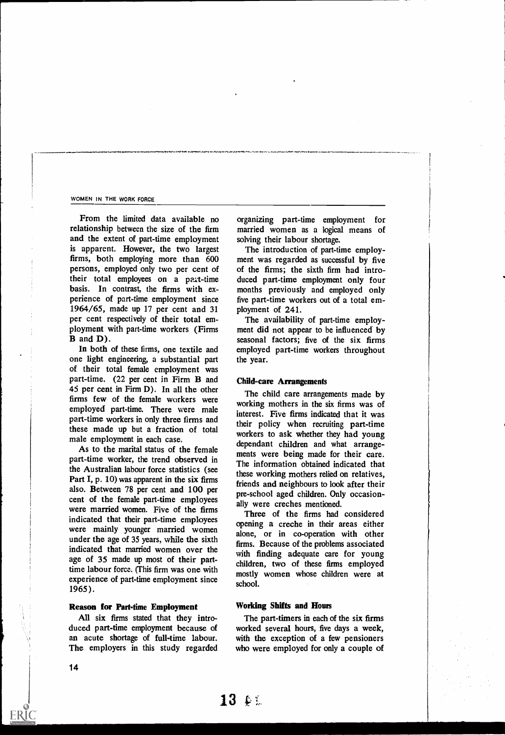From the limited data available no relationship between the size of the firm and the extent of part-time employment is apparent. However, the two largest firms, both employing more than 600 persons, employed only two per cent of their total employees on a part-time basis. In contrast, the firms with experience of part-time employment since 1964/65, made up 17 per cent and 31 per cent respectively of their total employment with part-time workers (Firms B and D).

In both of these firms, one textile and one light engineering, a substantial part of their total female employment was part-time. (22 per cent in Firm B and 45 per cent in Firm D). In all the other firms few of the female workers were employed part-time. There were male part-time workers in only three firms and these made up but a fraction of total male employment in each case.

As to the marital status of the female part-time worker, the trend observed in the Australian labour force statistics (see Part I, p. 10) was apparent in the six firms also. Between 78 per cent and 100 per cent of the female part-time employees were married women. Five of the firms indicated that their part-time employees were mainly younger married women under the age of 35 years, while the sixth indicated that married women over the age of 35 made up most of their parttime labour force. (This firm was one with experience of part-time employment since 1965).

# Reason for Part-time Employment

All six firms stated that they introduced part-time employment because of an acute shortage of full-time labour. The employers in this study regarded organizing part-time employment for married women as a logical means of solving their labour shortage.

The introduction of part-time employment was regarded as successful by five of the firms; the sixth firm had introduced part-time employment only four months previously and employed only five part-time workers out of a total employment of 241.

The availability of part-time employment did not appear to be influenced by seasonal factors; five of the six firms employed part-time workers throughout the year.

# Child-care Arrangements

The child care arrangements made by working mothers in the six firms was of interest. Five firms indicated that it was their policy when recruiting part-time workers to ask whether they had young dependant children and what arrangements were being made for their care. The information obtained indicated that these working mothers relied on relatives, friends and neighbours to look after their pre-school aged children. Only occasionally were creches mentioned.

Three of the firms had considered opening a creche in their areas either alone, or in co-operation with other firms. Because of the problems associated with finding adequate care for young children, two of these firms employed mostly women whose children were at school.

# Working Shifts and Hours

 $13 \leftrightarrow$ 

The part-timers in each of the six firms worked several hours, five days a week, with the exception of a few pensioners who were employed for only a couple of

**ERIC**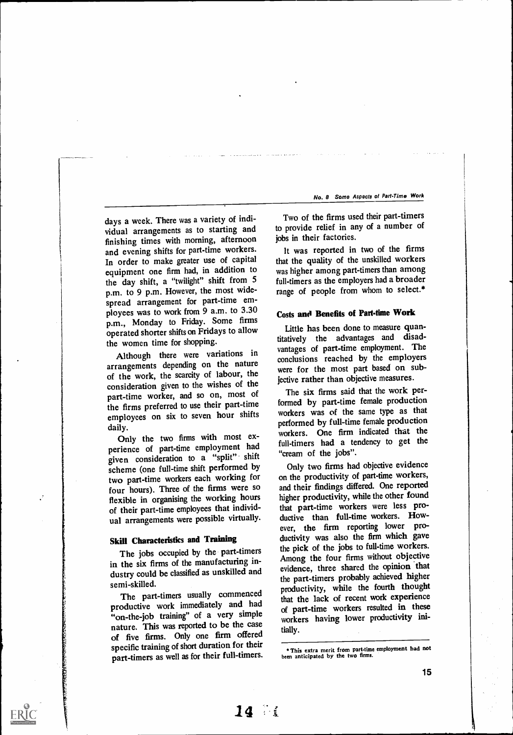days a week. There was a variety of individual arrangements as to starting and finishing times with morning, afternoon and evening shifts for part-time workers. In order to make greater use of capital equipment one firm had, in addition to the day shift, a "twilight" shift from 5 p.m. to 9 p.m. However, the most widespread arrangement for part-time employees was to work from 9 a.m. to 3.30 p.m., Monday to Friday. Some firms operated shorter shifts on Fridays to allow the women time for shopping.

Although there were variations in arrangements depending on the nature of the work, the scarcity of labour, the consideration given to the wishes of the part-time worker, and so on, most of the firms preferred to use their part-time employees on six to seven hour shifts daily.

Only the two firms with most experience of part-time employment had given consideration to a "split" shift scheme (one full-time shift performed by two part-time workers each working for four hours). Three of the firms were so flexible in organising the working hours of their part-time employees that individual arrangements were possible virtually.

# Skill Characteristics and Training

The jobs occupied by the part-timers in the six firms of the manufacturing industry could be classified as unskilled and semi-skilled.

The part-timers usually commenced productive work immediately and had "on-the-job training" of a very simple nature. This was reported to be the case of five firms. Only one firm offered specific training of short duration for their part-timers as well as for their full-timers.

14 7

Two of the firms used their part-timers to provide relief in any of a number of jobs in their factories.

It was reported in two of the firms that the quality of the unskilled workers was higher among part-timers than among full-timers as the employers had a broader range of people from whom to select.\*

# Costs and Benefits of Part-time Work

Little has been done to measure quantitatively the advantages and disadvantages of part-time employment. The conclusions reached by the employers were for the most part based on subjective rather than objective measures.

The six firms said that the work performed by part-time female production workers was of the same type as that performed by full-time female production workers. One firm indicated that the full-timers had a tendency to get the "cream of the jobs".

Only two firms had objective evidence on the productivity of part-time workers, and their findings differed. One reported higher productivity, while the other found that part-time workers were less productive than full-time workers. However, the firm reporting lower productivity was also the firm which gave the pick of the jobs to full-time workers. Among the four firms without objective evidence, three shared the opinion that the part-timers probably achieved higher productivity, while the fourth thought that the lack of recent work experience of part-time workers resulted in these workers having lower productivity initially.

This extra merit from part-time employment had not been anticipated by the two firms.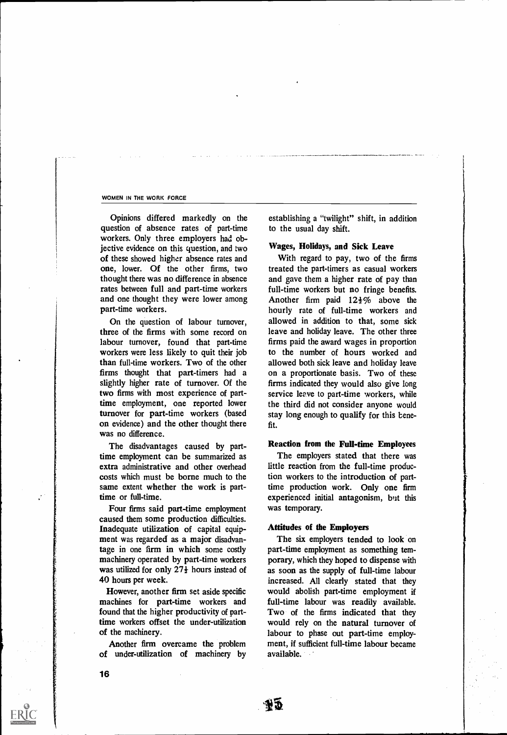Opinions differed markedly on the question of absence rates of part-time workers. Only three employers had objective evidence on this question, and two of these showed higher absence rates and one, lower. Of the other firms, two thought there was no difference in absence rates between full and part-time workers and one thought they were lower among part-time workers.

On the question of labour turnover, three of the firms with some record on labour turnover, found that part-time workers were less likely to quit their job than full-time workers. Two of the other firms thought that part-timers had a slightly higher rate of turnover. Of the two firms with most experience of parttime employment, one reported lower turnover for part-time workers (based on evidence) and the other thought there was no difference.

The disadvantages caused by parttime employment can be summarized as extra administrative and other overhead costs which must be borne much to the same extent whether the work is parttime or full-time.

Four firms said part-time employment caused them some production difficulties. Inadequate utilization of capital equipment was regarded as a major disadvantage in one firm in which some costly machinery operated by part-time workers was utilized for only  $27\frac{1}{2}$  hours instead of 40 hours per week.

However, another firm set aside specific machines for part-time workers and found that the higher productivity of parttime workers offset the under-utilization of the machinery.

Another firm overcame the problem of under-utilization of machinery by establishing a "twilight" shift, in addition to the usual day shift.

# Wages, Holidays, and Sick Leave

With regard to pay, two of the firms treated the part-timers as casual workers and gave them a higher rate of pay than full-time workers but no fringe benefits. Another firm paid  $12\frac{1}{2}\%$  above the hourly rate of full-time workers and allowed in addition to that, some sick leave and holiday leave. The other three firms paid the award wages in proportion to the number of hours worked and allowed both sick leave and holiday leave on a proportionate basis. Two of these firms indicated they would also give long service leave to part-time workers, while the third did not consider anyone would stay long enough to qualify for this benefit.

## Reaction from the Full-time Employees

The employers stated that there was little reaction from the full-time production workers to the introduction of parttime production work. Only one firm experienced initial antagonism, but this was temporary.

## Attitudes of the Employers

NÓ

The six employers tended to look on part-time employment as something temporary, which they hoped to dispense with as soon as the supply of full-time labour increased. All clearly stated that they would abolish part-time employment if full-time labour was readily available. Two of the firms indicated that they would rely on the natural turnover of labour to phase out part-time employment, if sufficient full-time labour became available.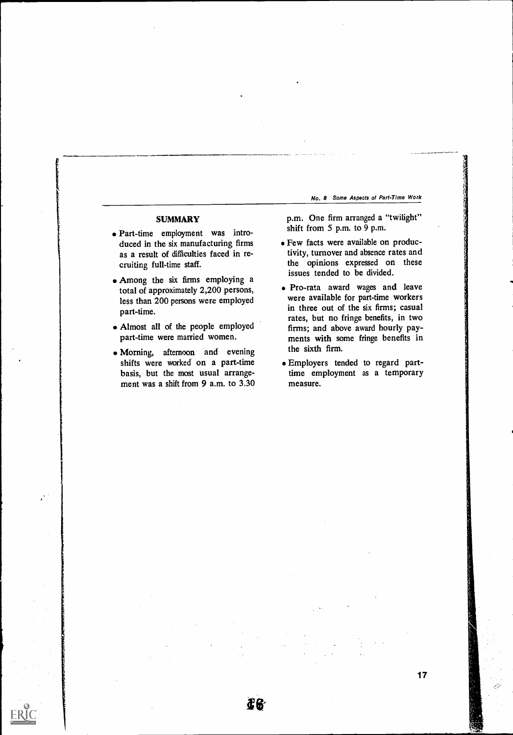# **SUMMARY**

- Part-time employment was introduced in the six manufacturing firms as a result of difficulties faced in recruiting full-time staff.
- Among the six firms employing a total of approximately 2,200 persons, less than 200 persons were employed part-time.
- Almost all of the people employed part-time were married women.
- Morning, afternoon and evening shifts were worked on a part-time basis, but the most usual arrangement was a shift from 9 a.m. to 3.30

æ6

p.m. One firm arranged a "twilight" shift from 5 p.m. to 9 p.m.

- Few facts were available on productivity, turnover and absence rates and the opinions expressed on these issues tended to be divided.
- Pro-rata award wages and leave were available for part-time workers in three out of the six firms; casual rates, but no fringe benefits, in two firms; and above award hourly payments with some fringe benefits in the sixth firm.
- Employers tended to regard parttime employment as a temporary measure.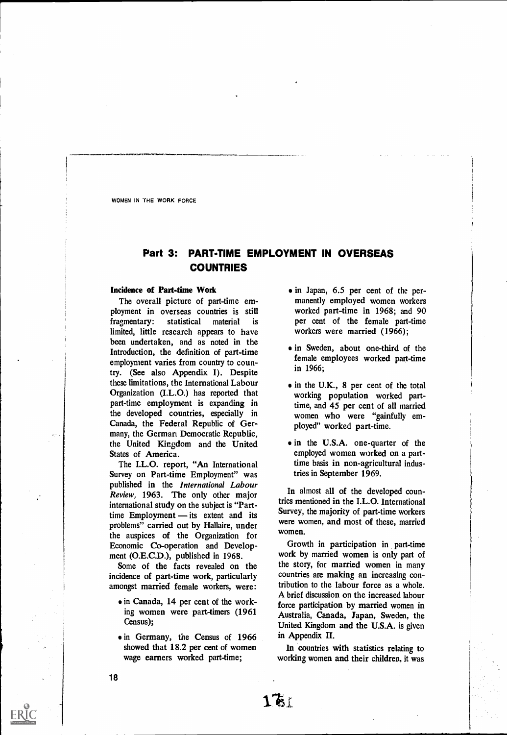# Part 3: PART-TIME EMPLOYMENT IN OVERSEAS COUNTRIES

# Incidence of Part-time Work

The overall picture of part-time employment in overseas countries is still fragmentary: statistical material is limited, little research appears to have been undertaken, and as noted in the Introduction, the definition of part-time employment varies from country to country. (See also Appendix I). Despite these limitations, the International Labour Organization (I.L.0.) has reported that part-time employment is expanding in the developed countries, especially in Canada, the Federal Republic of Germany, the German Democratic Republic, the United Kingdom and the United States of America.

The I.L.O. report, "An International Survey on Part-time Employment" was published in the International Labour Review, 1963. The only other major international study on the subject is "Parttime Employment  $-$  its extent and its problems" carried out by Hallaire, under the auspices of the Organization for Economic Co-operation and Development (0.E.C.D.), published in 1968.

Some of the facts revealed on the incidence of part-time work, particularly amongst married female workers, were:

- in Canada, 14 per cent of the working women were part-timers (1961 Census);
- in Germany, the Census of 1966 showed that 18.2 per cent of women wage earners worked part-time;
- in Japan, 6.5 per cent of the permanently employed women workers worked part-time in 1968; and 90 per cent of the female part-time workers were married (1966);
- in Sweden, about one-third of the female employees worked part-time in 1966;
- $\bullet$  in the U.K., 8 per cent of the total working population worked parttime, and 45 per cent of all married women who were "gainfully employed" worked part-time.
- in the U.S.A. one-quarter of the employed women worked on a parttime basis in non-agricultural industries in September 1969.

In almost all of the developed countries mentioned in the I.L.O. International Survey, the majority of part-time workers were women, and most of these, married women.

Growth in participation in part-time work by married women is only part of the story, for married women in many countries are making an increasing contribution to the labour force as a whole. A brief discussion on the increased labour force participation by married women in Australia, Canada, Japan, Sweden, the United Kingdom and the U.S.A. is given in Appendix II.

In countries with statistics relating to working women and their children, it was

 $16.5$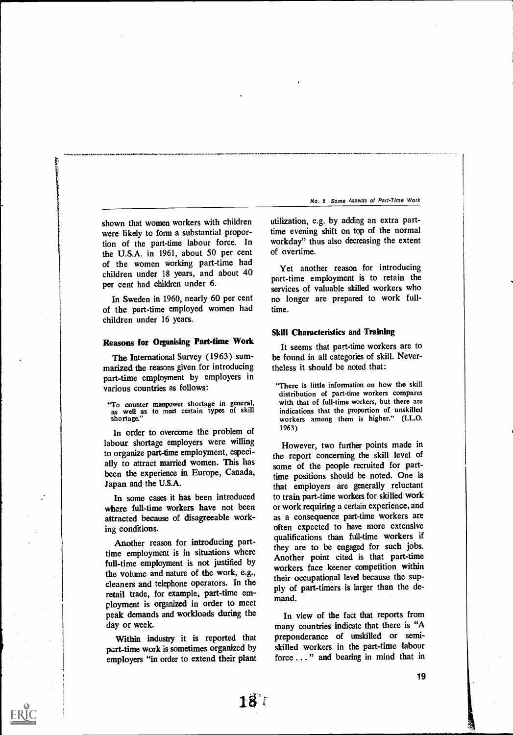shown that women workers with children were likely to form a substantial proportion of the part-time labour force. In the U.S.A. in 1961, about 50 per cent of the women working part-time had children under 18 years, and about 40 per cent had children under 6.

In Sweden in 1960, nearly 60 per cent of the part-time employed women had children under 16 years.

# Reasons for Organising Part-time Work

The International Survey (1963) summarized the reasons given for introducing part-time employment by employers in various countries as follows:

"To counter manpower shortage in general, as well as to meet certain types of skill shortage."

In order to overcome the problem of labour shortage employers were willing to organize part-fime employment, especially to attract married women. This has been the experience in Europe, Canada, Japan and the U.S.A.

In some cases it has been introduced where full-time workers have not been attracted because of disagreeable working conditions.

Another reason for introducing parttime employment is in situations where full-time employment is not justified by the volume and nature of the work, e.g., cleaners and telephone operators. In the retail trade, for example, part-time employment is organized in order to meet peak demands and workloads during the day or week.

Within industry it is reported that part-time work is sometimes organized by employers "in order to extend their plant utilization, e.g. by adding an extra parttime evening shift on top of the normal workday" thus also decreasing the extent of overtime.

Yet another reason for introducing part-time employment is to retain the services of valuable skilled workers who no longer are prepared to work fulltime.

# Skill Characteristics and Training

It seems that part-time workers are to be found in all categories of skill. Nevertheless it should be noted that:

"There is little information on how the skill distribution of part-time workers compares with that of full-time workers, but there are indications that the proportion of unskilled workers among them is higher." (I.L.O. 1963)

However, two further points made in the report concerning the skill level of some of the people recruited for parttime positions should be noted. One is that employers are generally reluctant to train part-time workers for skilled work or work requiring a certain experience, and as a consequence part-time workers are often expected to have more extensive qualifications than full-time workers if they are to be engaged for such jobs. Another point cited is that part-time workers face keener competition within their occupational level because the supply of part-timers is larger than the demand.

In view of the fact that reports from many countries indicate that there is "A preponderance of unskilled or semiskilled workers in the part-time labour force . . . " and bearing in mind that in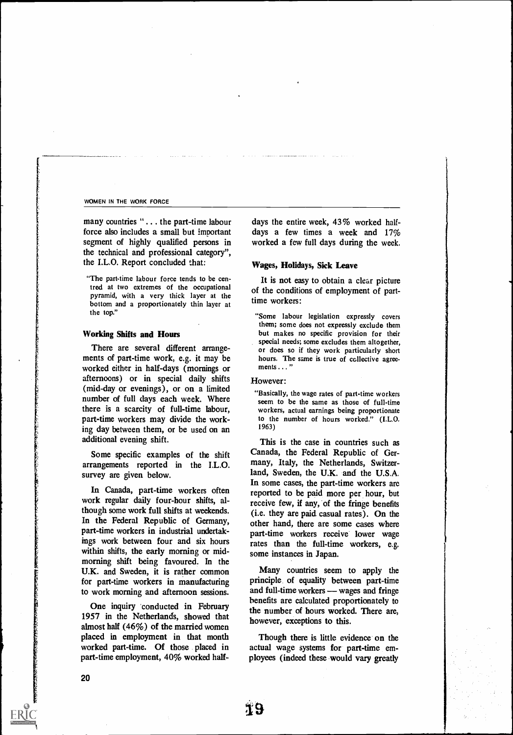many countries "... the part-time labour force also includes a small but important segment of highly qualified persons in the technical and professional category", the I.L.O. Report concluded that:

"The part-time labour force tends to be centred at two extremes of the occupational pyramid, with a very thick layer at the bottom and a proportionately thin layer at the top."

## Working Shifts and Hours

There are several different arrangements of part-time work, e.g. it may be worked either in half-days (mornings or afternoons) or in special daily shifts (mid-day or evenings), or on a limited number of full days each week. Where there is a scarcity of full-time labour, part-time workers may divide the working day between them, or be used on an additional evening shift.

Some specific examples of the shift arrangements reported in the I.L.O. survey are given below.

In Canada, part-time workers often work regular daily four-hour shifts, although some work full shifts at weekends. In the Federal Republic of Germany, part-time workers in industrial undertakings work between four and six hours within shifts, the early morning or midmorning shift being favoured. In the U.K. and Sweden, it is rather common for part-time workers in manufacturing to work morning and afternoon sessions.

One inquiry 'conducted in February 1957 in the Netherlands, showed that almost half (46%) of the married women placed in employment in that month worked part-time. Of those placed in part-time employment, 40% worked halfdays the entire week, 43% worked halfdays a few times a week and  $17\%$ worked a few full days during the week.

## Wages, Holidays, Sick Leave

It is not easy to obtain a clear picture of the conditions of employment of parttime workers:

"Some labour legislation expressly covers them; some does not expressly exclude them but makes no specific provision for their special needs; some excludes them altogether, or does so if they work particularly short hours. The same is true of collective agreements . . . "

# However:

"Basically, the wage rates of part-time workers seem to be the same as those of full-time workers, actual earnings being proportionate to the number of hours worked." (I.L.O. 1963)

This is the case in countries such as Canada, the Federal Republic of Germany, Italy, the Netherlands, Switzerland, Sweden, the U.K. and the U.S.A. In some cases, the part-time workers are reported to be paid more per hour, but receive few, if any, of the fringe benefits (i.e. they are paid casual rates). On the other hand, there are some cases where part-time workers receive lower wage rates than the full-time workers, e.g. some instances in Japan.

Many countries seem to apply the principle of equality between part-time and full-time workers — wages and fringe benefits are calculated proportionately to the number of hours worked. There are, however, exceptions to this.

Though there is little evidence on the actual wage systems for part-time employees (indeed these would vary greatly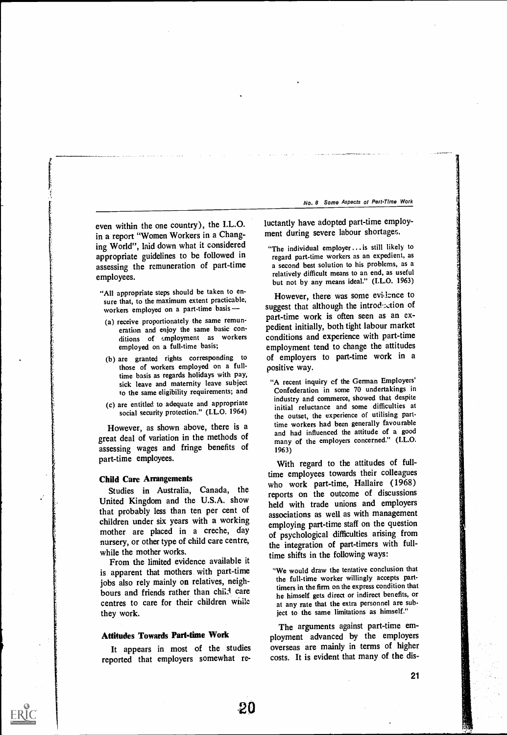even within the one country), the I.L.O. in a report "Women Workers in a Changing World", laid down what it considered appropriate guidelines to be followed in assessing the remuneration of part-time employees.

- "All appropriate steps should be taken to ensure that, to the maximum extent practicable, workers employed on a part-time basis
- (a) receive proportionately the same remuneration and enjoy the same basic conditions of *employment* as workers employed on a full-time basis;
- (b) are granted rights corresponding to those of workers employed on a fulltime basis as regards holidays with pay, sick leave and maternity leave subject to the same eligibility requirements; and
- (c) are entitled to adequate and appropriate social security protection." (I.L.O. 1964)

However, as shown above, there is a great deal of variation in the methods of assessing wages and fringe benefits of part-time employees.

# Child Care Arrangements

Studies in Australia, Canada, the United Kingdom and the U.S.A. show that probably less than ten per cent of children under six years with a working mother are placed in a creche, day nursery, or other type of child care centre, while the mother works.

From the limited evidence available it is apparent that mothers with part-time jobs also rely mainly on relatives, neighbours and friends rather than child care centres to care for their children while they work.

# Attitudes Towards Part-time Work

It appears in most of the studies reported that employers somewhat reluctantly have adopted part-time employment during severe labour shortages.

"The individual employer...is still likely to regard part-time workers as an expedient, as a second best solution to his problems, as a relatively difficult means to an end, as useful but not by any means ideal." (I.L.O. 1963)

However, there was some evidence to suggest that although the introduction of part-time work is often seen as an expedient initially, both tight labour market conditions and experience with part-time employment tend to change the attitudes of employers to part-time work in a positive way.

"A recent inquiry cf the German Employers' Confederation in some 70 undertakings in industry and commerce, showed that despite initial reluctance and some difficulties at the outset, the experience of utilising parttime workers had been generally favourable and had influenced the attitude of a good many of the employers concerned." (I.L.O. 1963)

With regard to the attitudes of fulltime employees towards their colleagues who work part-time, Hallaire (1968) reports on the outcome of discussions held with trade unions and employers associations as well as with management employing part-time staff on the question of psychological difficulties arising from the integration of part-timers with fulltime shifts in the following ways:

"We would draw the tentative conclusion that the full-time worker willingly accepts parttimers in the firm on the express condition that he himself gets direct or indirect benefits, or at any rate that the extra personnel are subject to the same limitations as himself."

The arguments against part-time employment advanced by the employers overseas are mainly in terms of higher costs. It is evident that many of the dis-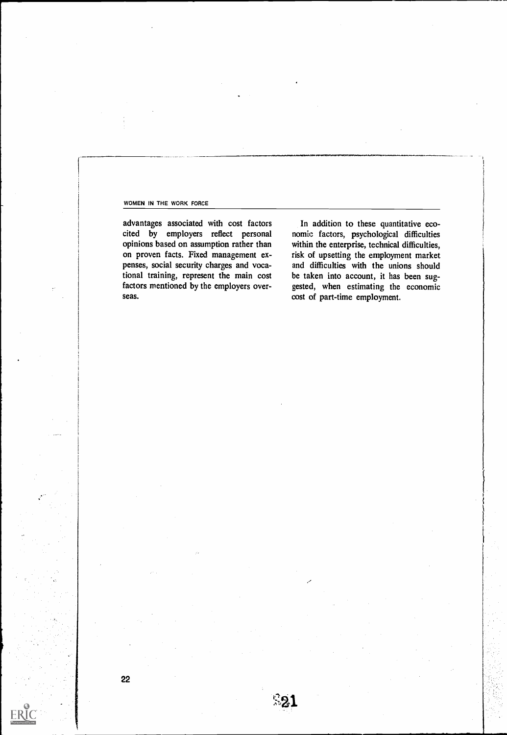advantages associated with cost factors cited by employers reflect personal opinions based on assumption rather than on proven facts. Fixed management expenses, social security charges and vocational training, represent the main cost factors mentioned by the employers overseas.

In addition to these quantitative economic factors, psychological difficulties within the enterprise, technical difficulties, risk of upsetting the employment market and difficulties with the unions should be taken into account, it has been suggested, when estimating the economic cost of part-time employment.

 $E21$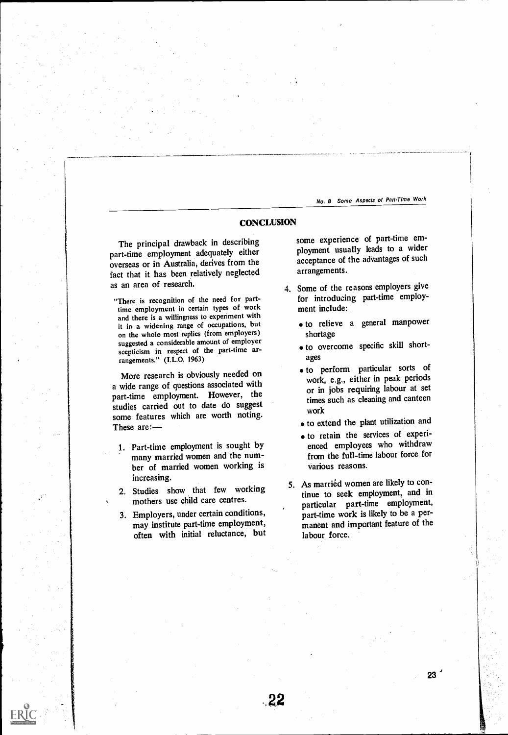# **CONCLUSION**

The principal drawback in describing part-time employment adequately either overseas or in Australia, derives from the fact that it has been relatively neglected as an area of research.

"There is recognition of the need for parttime employment in certain types of work and there is a willingness to experiment with it in a widening range of occupations, but on the whole most replies (from employers) suggested a considerable amount of employer scepticism in respect of the part-time arrangements." (I.L.O. 1963)

More research is obviously needed on a wide range of questions associated with part-time employment. However, the studies carried out to date do suggest some features which are worth noting. These are:

- 1. Part-time employment is sought by many married women and the number of married women working is increasing.
- 2. Studies show, that few working mothers use child care centres.
- 3. Employers, under certain conditions, may institute part-time employment, often with initial reluctance, but

Proposition of the Contract of

some experience of part-time employment usually leads to a wider acceptance of the advantages of such arrangements.

- 4. Some of the reasons employers give for introducing part-time employment include:
	- to relieve a general manpower shortage
	- $\bullet$  to overcome specific skill shortages
	- to perform particular sorts of work, e.g., either in peak periods or in jobs requiring labour at set times such as cleaning and canteen work
	- to extend the plant utilization and
	- to retain the services of experienced employees who withdraw from the full-time labour force for various reasons.
- 5. As married women are likely to continue to seek employment, and in particular part-time employment, part-time work is likely to be a permanent and important feature of the labour force.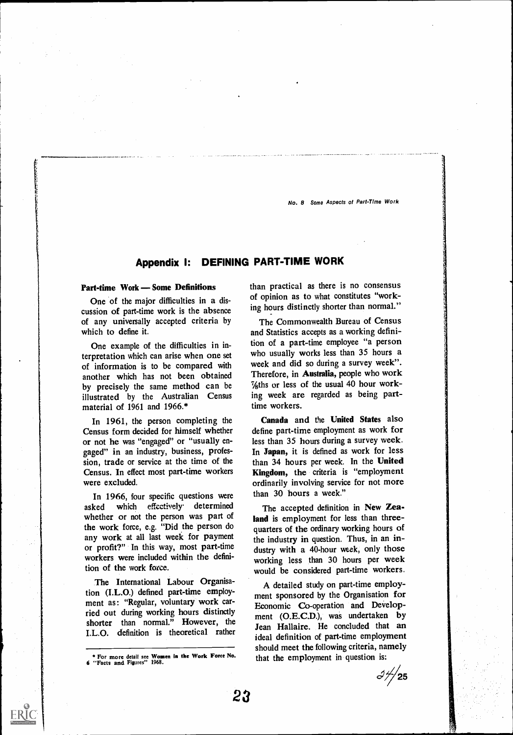# Appendix I: DEFINING PART-TIME WORK

# Part-time Work – Some Definitions

One of the major difficulties in a discussion of part-time work is the absence of any universally accepted criteria by which to define it.

One example of the difficulties in interpretation which can arise when one set of information is to be compared with another which has not been obtained by precisely the same method can be illustrated by the Australian Census material of 1961 and 1966.\*

In 1961, the person completing the Census form decided for himself whether or not he was "engaged" or "usually engaged" in an industry, business, profession, trade or service at the time of the Census. In effect most part-time workers were excluded.

In 1966, four specific questions were asked which effectively determined whether or not the person was part of the work force, e.g. "Did the person do any work at all last week for payment or profit?" In this way, most part-time workers were included within the definition of the work force.

The International Labour Organisation (I.L.0.) defined part-time employment as: "Regular, voluntary work carried out during working hours distinctly shorter than normal." However, the I.L.O. definition is theoretical rather than practical as there is no consensus of opinion as to what constitutes "working hours distinctly shorter than normal."

The Commonwealth Bureau of Census and Statistics accepts as a working definition of a part-time employee "a person who usually works less than 35 hours a week and did so during a survey week". Therefore, in Australia, people who work  $\frac{7}{8}$ ths or less of the usual 40 hour working week are regarded as being parttime workers.

Canada and the United States also define part-time employment as work for less than 35 hours during a survey week. In Japan, it is defined as work for less than 34 hours per week. In the United Kingdom, the criteria is "employment ordinarily involving service for not more than 30 hours a week."

The accepted definition in New Zealand is employment for less than threequarters of the ordinary working hours of the industry in question. Thus, in an industry with a 40-hour week, only those working less than 30 hours per week would be considered part-time workers.

A detailed study on part-time employment sponsored by the Organisation for Economic Co-operation and Development (0.E.C.D.), was undertaken by Jean Hallaire. He concluded that an ideal definition of part-time employment should meet the following criteria, namely that the employment in question is:

 $3\frac{1}{25}$ 

For more detail see Women in the Work Force No. 6 "Facts and Figures" 1968.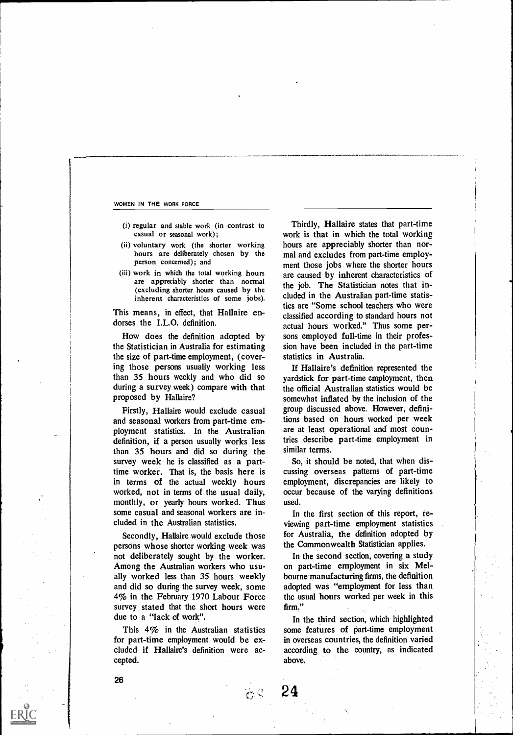- (i) regular and stable work (in contrast to casual or seasonal work);
- (ii) voluntary work (the shorter working hours are deliberately chosen by the person concerned); and
- (iii) work in which the total working hours are appreciably shorter than normal (excluding shorter hours caused by the inherent characteristics of some jobs).

This means, in effect, that Hallaire endorses the I.L.O. definition.

How does the definition adopted by the Statistician in Australia for estimating the size of part-time employment, (covering those persons usually working less than 35 hours weekly and who did so during a survey week) compare with that proposed by Hallaire?

Firstly, Hallaire would exclude casual and seasonal workers from part-time employment statistics. In the Australian definition, if a person usually works less than 35 hours and did so during the survey week he is classified as a parttime worker. That is, the basis here is in terms of the actual weekly hours worked, not in terms of the usual daily, monthly, or yearly hours worked. Thus some casual and seasonal workers are included in the Australian statistics.

Secondly, Hallaire would exclude those persons whose shorter working week was not deliberately sought by the worker. Among the Australian workers who usually worked less than 35 hours weekly and did so during the survey week, some 4% in the February 1970 Labour Force survey stated that the short hours were due to a "lack of work".

This 4% in the Australian statistics for part-time employment would be excluded if Hallaire's definition were accepted.

 $\mathcal{F}$ 

24

Thirdly, Hallaire states that part-time work is that in which the total working hours are appreciably shorter than normal and excludes from part-time employment those jobs where the shorter hours are caused by inherent characteristics of the job. The Statistician notes that included in the Australian part-time statistics are "Some school teachers who were classified according to standard hours not actual hours worked." Thus some persons employed full-time in their profession have been included in the part-time statistics in Australia.

If Hallaire's definition represented the yardstick for part-time employment, then the official Australian statistics would be somewhat inflated by the inclusion of the group discussed above. However, definitions based on hours worked per week are at least operational and most countries describe part-time employment in similar terms.

So, it should be noted, that when discussing overseas patterns of part-time employment, discrepancies are likely to occur because of the varying definitions used.

In the first section of this report, reviewing part-time employment statistics for Australia, the definition adopted by the Commonwealth Statistician applies.

In the second section, covering a study on part-time employment in six Melbourne manufacturing firms, the definition adopted was "employment for less than the usual hours worked per week in this firm."

In the third section, which highlighted some features of part-time employment in overseas countries, the definition varied according to the country, as indicated above.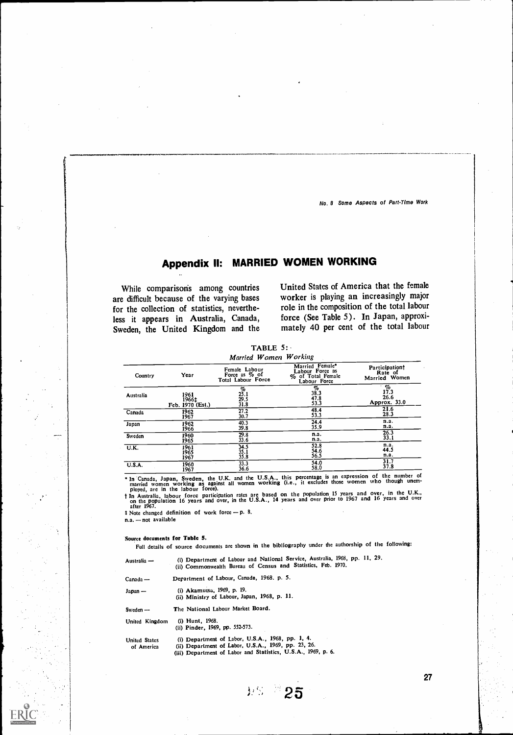# Appendix II: MARRIED WOMEN WORKING

While comparisons among countries are difficult because of the varying bases for the collection of statistics, nevertheless it appears in Australia, Canada, Sweden, the United Kingdom and the United States of America that the female worker is playing an increasingly major role in the composition of the total labour force (See Table 5). In Japan, approximately 40 per cent of the total labour

TABLE 5: ied Women Working

| <i>Martied</i> <b>W</b> omen <b>W</b> or <i>NHg</i> |                                   |                                                      |                                                                         |                                            |  |
|-----------------------------------------------------|-----------------------------------|------------------------------------------------------|-------------------------------------------------------------------------|--------------------------------------------|--|
| Country                                             | Year                              | Female Labour<br>Force as % of<br>Total Labour Force | Married Female*<br>Labour Force as<br>% of Total Female<br>Labour Force | Participationt<br>Rate of<br>Married Women |  |
| Australia                                           | 1961<br>1966‡<br>Feb. 1970 (Est.) | $\frac{\%}{25.1}$<br>29.5<br>31.8                    | $\frac{\%}{38.3}$<br>47.8<br>53.3                                       | %<br>17.3<br>26.6<br>Approx. 33.0          |  |
| Canada                                              | 1962                              | 27.2                                                 | 48.4                                                                    | 21.6                                       |  |
|                                                     | 1967                              | 30.7                                                 | 53.3                                                                    | 28.3                                       |  |
| Japan                                               | 1962                              | 40.3                                                 | 24.4                                                                    | n.a.                                       |  |
|                                                     | 1966                              | 39.8                                                 | 35.9                                                                    | n.a.                                       |  |
| Sweden                                              | 1960                              | 29.8                                                 | n.a.                                                                    | 26.3                                       |  |
|                                                     | 1965                              | 33.6                                                 | n.a.                                                                    | 33.1                                       |  |
| U.K.                                                | 1961<br>1965<br>1967              | $34.5$<br>$35.1$<br>$35.8$                           | 52.8<br>54.6<br>56.5                                                    | n.a.<br>44.5<br>n.a.                       |  |
| <b>U.S.A.</b>                                       | 1960                              | 33.3                                                 | 54.0                                                                    | 31.7                                       |  |
|                                                     | 1967                              | 36.6                                                 | 58.0                                                                    | 37.8                                       |  |

The Canada, Japan, Sweden, the U.K. and the U.S.A., this percentage is an expression of the number of married women working as against all women working (i.e., it excludes those women who though unem-<br>ployed, are in the la

 $t$  Note changed definition of work force  $- p$ . 8.

 $n.a. - not available$ 

#### Source documents for Table 5.

Full details of source documents arc shown in the bibliography under the authorship of the following:

| Australia —                        | (i) Department of Labour and National Service, Australia, 1968, pp. 11, 29.<br>(ii) Commonwealth Bureau of Census and Statistics, Feb. 1970.                             |
|------------------------------------|--------------------------------------------------------------------------------------------------------------------------------------------------------------------------|
| $C$ anada —                        | Department of Labour, Canada, 1968. p. 5.                                                                                                                                |
| Japan —                            | (i) Akamutsa, 1969, p. 19.<br>(ii) Ministry of Labour, Japan, 1968, p. 11.                                                                                               |
| Sweden $-$                         | The National Labour Market Board.                                                                                                                                        |
| United Kingdom                     | (i) Hunt, 1968.<br>(ii) Pinder, 1969, pp. 552-573.                                                                                                                       |
| <b>United States</b><br>of America | (i) Department of Labor, U.S.A., 1968, pp. 1, 4.<br>(ii) Department of Labor, U.S.A., 1969, pp. 23, 26.<br>(iii) Department of Labor and Statistics, U.S.A., 1969, p. 6. |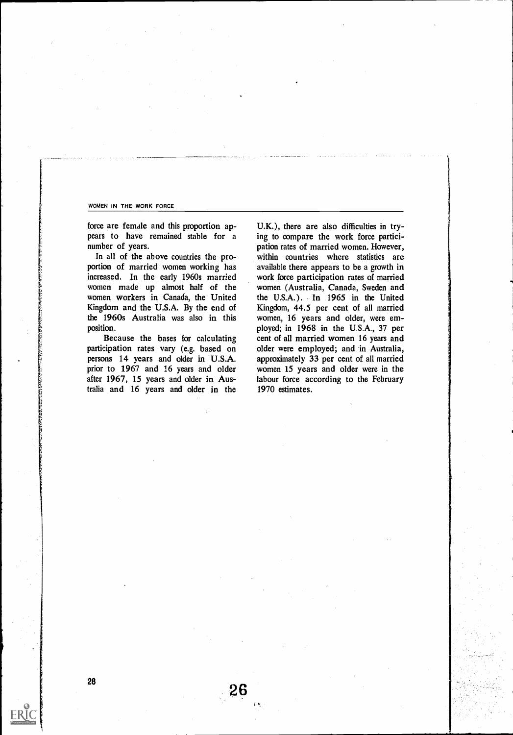force are female and this proportion appears to have remained stable for a number of years.

In all of the above countries the proportion of married women working has increased. In the early 1960s married women made up almost half of the women workers in Canada, the United Kingdom and the U.S.A. By the end of the 1960s Australia was also in this position.

Because the bases for calculating participation rates vary (e.g. based on persons 14 years and older in U.S.A. prior to 1967 and 16 years and older after 1967, 15 years and older in Australia and <sup>16</sup> years and older in the

26

U.K.), there are also difficulties in trying to compare the work force participation rates of married women. However, within countries where statistics are available there appears to be a growth in work force participation rates of married women (Australia, Canada, Sweden and the U.S.A.). In 1965 in the United Kingdom, 44.5 per cent of all married women, <sup>16</sup> years and older, were employed; in 1968 in the U.S.A., 37 per cent of all married women 16 years and older were employed; and in Australia, approximately 33 per cent of all married women <sup>15</sup> years and older were in the labour force according to the February 1970 estimates.